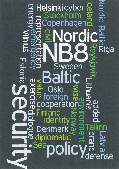# Helsinki cyber<br>- Stockholm က္ပ  $\frac{1}{D}$ P penhagena Riga Sw DOU  $\overline{\mathbf{o}}$  $\overline{\mathbf{D}}$ ela **DDDDDDDDDDDDDDDDDDDDDDDDDD** ppera CO O<br>O Finland  $\overline{\mathbf{D}}$ identit mar  $\overline{\overline{D}}$ diplomatic Sea fense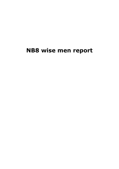# **NB8 wise men report**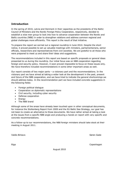# **Introduction**

In the spring of 2010, Latvia and Denmark in their capacities as the presidents of the Baltic Council of Ministers and the Nordic Foreign Policy Cooperation, respectively, decided to establish a wise men group to look into how to advance cooperation between the Nordic and Baltic countries (NB8) in order to strengthen relations and address common regional and global challenges more efficiently. This report is the result of that initiative.

To prepare the report we carried out a regional roundtrip in June 2010. Despite the short notice, it proved possible to set up valuable meetings with ministers, parliamentarians, senior officials, researchers and representatives from civil societies. We are grateful to all those who were prepared to meet us and share their ideas and suggestions.

The recommendations included in this report are based on specific proposals or general ideas presented to us during the roundtrip. Our initial focus was on NB8 cooperation regarding foreign and security policy. However, it soon proved impossible to focus on these issues only. We have therefore included recommendations in some other important areas as well.

Our report consists of two major parts – a visionary part and the recommendations. In the visionary part we have aimed at taking a wider look at the development in the past, present and future of the NB8 cooperation, and we have tried to indicate the general shortcomings we should address today. In the recommendation part we have included concrete suggestions in the following fields:

- Foreign political dialogue
- Cooperation on diplomatic representations
- Civil security, including cyber security
- Defense cooperation
- Energy
- The NB8 brand

Although some of the areas have already been touched upon in other conceptual documents, for instance the Stoltenberg Report from 2009 and the EU Baltic Sea Strategy, our goal has not been to create an alternative to those documents. We have rather aimed at taking a look at the issues from a specific NB8 angle and producing a *hands on* report with very specific and concrete recommendations.

As a follow-up to our recommendations, the NB8 foreign ministers should take stock at their meeting in August 2011.

Valdis Birkavs **Søren Gade** 

Riga Copenhagen

August 2010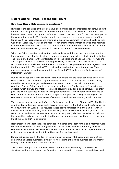#### **NB8 relations – Past, Present and Future**

#### **How have Nordic-Baltic relations developed?**

Historically the countries of the region have been interlinked and interacted for centuries, with mutual trade being the decisive factor facilitating this interaction. The most profound bond, however, was created during the 1990s when issues other than trade formed the major part of the cooperation agenda. The Nordic countries were among the strongest supporters of the Baltic countries' independence and their public support considerably influenced public opinion worldwide. Later they were also the first to open their borders, introducing visa-free regimes with the Baltic countries. This created a profound affinity with the Nordic nations in the Baltic countries and formed solid ground for further formal and informal cooperation.

When the Baltic countries regained their independence and during their integration into the European and transatlantic structures, they were strongly supported by their Nordic neighbors. The Nordic and Baltic countries interacted in various fields and at various levels; networking and cooperation were established among politicians, civil servants and civil societies. The Nordic countries actively assisted the Baltic countries in their preparations for integration into the European Union (EU) and NATO, considerably accelerating the entire process. They operated persuasively and actively within the EU and NATO to defend the Baltic countries' integration interests.

During this period the Nordic countries were highly visible in the Baltic countries and a very solid tradition of Nordic-Baltic cooperation was founded. There was general understanding of the added value of stronger Nordic-Baltic cooperation in both the Baltic and the Nordic countries. For the Baltic countries, the value added was the Nordic countries' expertise and support, which allowed the major foreign and security policy goals to be achieved. For their part, the Nordic countries wanted to strengthen relations with their Baltic neighbors and to contribute to a foundation for economic prosperity and political stability in the region. The cooperation was also built on a sense of community and solidarity among small countries.

The cooperation mode changed after the Baltic countries joined the EU and NATO. The Nordic countries took a less active approach, leaving more room for the Baltic countries to adjust to their new status in Europe. This resulted in less active participation in the Baltic countries' further political development, for example scaling down advisory support and guidance. The Baltic countries themselves were euphoric about the great goals they had achieved, while at the same time striving hard to adjust to the new environment and join the everyday working life of the EU and NATO structures.

Notwithstanding the fact that solid consultation mechanisms (both formal and informal) were created within the international organizations (for instance, NB6 within the EU), the sense of common focus or objectives somewhat faded. The potential of the political cooperation of the eight countries was left neither fully utilised nor further developed.

Somewhat paradoxically, the lack of comprehensive political NB8 cooperation came at the same time as Nordic businesses actively started entering the Baltic business sphere, mainly through direct investments and partnerships.

The tradition and practice of the cooperation were maintained through the established structures and procedures and the formalized communication. However, the well-developed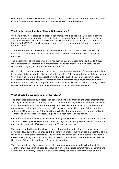cooperation framework could have been used more successfully to send timely political signals or look for comprehensive solutions to the challenges facing the region.

#### **What is the current state of Nordic-Baltic relations?**

We have a very well-established cooperation framework. Besides the NB8 nations, several regional organizations are also active, including the Nordic Council of Ministers, the Baltic Assembly, the Nordic Council, the EU, the Council for the Baltic Sea States, the Council of Europe and NATO. The practical cooperation is active in a wide range of spheres and on different levels.

At the same time a lot of activity is driven by habit and custom to maintain the existing practices, procedures and structures rather than concrete common political cooperation objectives.

The global financial and economic crisis has proven our interdependency and made it even more important to cooperate both internationally and regionally. This also applies to the Nordic-Baltic region, despite our national differences.

Nordic-Baltic cooperation is much more than cooperation between and for governments. To a large extent this cooperation also includes the peoples of the region. Unfortunately, at present the visibility of Nordic-Baltic cooperation to the wider public has somewhat diminished. Strengthened and more focused cooperation should therefore focus much more on where it can make a difference and bring real added value at all levels with a view to creating concrete results to the benefit of citizens, organizations and the business environment.

#### **What should be our ambition for the future?**

The challenges dictated by globalization can only be tackled through enhanced international and regional cooperation. In many areas the cooperation of eight Nordic and Baltic countries would add strength and influence to the region as well as to the individual countries in the region (an explicit example here is the performance of the six Nordic and Baltic countries within the EU regarding the Baltic Sea Strategy). Collaboration among the Nordic and Baltic countries is also essential to boost the global competitiveness of the region.

Closer interaction and pooling of resources among the eight Nordic and Baltic countries gains additional meaning when seen in the context of regional clustering tendencies both in Europe and globally, especially if considered in a 10-20 year perspective.

The Nordic and Baltic countries have strong cultural and historical bonds, and we should strive at further developing these bonds and this identity in order to fully harvest the potential of the region in a longer-term perspective. The stronger the region becomes in terms of economic development, living standard, public administration practices etc., the more competitive the Nordic and Baltic region and each of its countries will be.

The eight Nordic and Baltic countries must agree on a common agenda. All of the eight countries must support this agenda, ensuring high level political commitment, ownership and awareness. In addition, there is a wide-spread perception that closer integration and the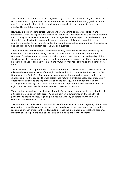articulation of common interests and objectives by the three Baltic countries (inspired by the Nordic countries' cooperation experience and further developing the existing good cooperation practices among the three Baltic countries) would contribute considerably to more goaloriented Nordic-Baltic cooperation.

However, it is important to stress that while they are aiming at closer cooperation and integration within the region, each of the eight countries is maintaining its own unique identity. Each country has its own interests and national agendas. In this regard the Nordic-Baltic Eight "formula" is well suited to accommodating both interests – it is broad enough to allow each country to develop its own identity and at the same time specific enough to imply belonging to a specific region with a certain set of values and qualities.

There is no need for new regional structures; indeed, there are voices even advocating the dissolution of many of the existing ones which some find to be redundant or inefficient. However, if a relevant and active Nordic-Baltic agenda is set, the number and quality of the structures would become an issue of secondary importance. Moreover, all these structures can be put to good use if genuinely common and mutually important objectives and agendas are found.

The instruments and opportunities provided by the EU and NATO can be successfully used to advance the common focusing of the eight Nordic and Baltic countries. For instance, the EU Strategy for the Baltic Sea Region provides an integrated framework response to the key challenges facing the region. The well established networks of Nordic-Baltic cooperation may effectively contribute to the implementation of the strategy. In a number of areas, the Strategy may encourage more focused Nordic–Baltic cooperation. Closer coordination of the eight countries might also facilitate smoother EU-NATO cooperation.

To be continuous and sustainable, formal Nordic-Baltic cooperation needs to be rooted in public attitudes and opinions in both areas. As public opinion is determined by the visibility of partners and their activities, regaining the positive visibility of Nordic countries in Baltic countries and vice versa is crucial.

The future of the Nordic-Baltic Eight should therefore focus on a common agenda, where close cooperation among the countries of the region would ensure the development of the entire region and of each of its countries. It should increase the international political and economic influence of the region and give added value to the Baltic and Nordic countries.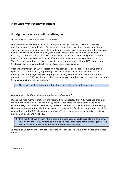# **NB8 wise men recommendations**

# **Foreign and security political dialogue**

*How can we increase the influence of the NB8?*

NB8 cooperation has several levels for foreign and security political dialogue. There are meetings among prime ministers, foreign ministers, defense ministers and parliamentarians. There are also meetings among civil servants in different areas<sup>1</sup>. To some extent this dialogue works well. However, there have only been a few cases where the NB8 voice has been explicitly heard internationally. Closer Nordic-Baltic cooperation within foreign and security policy could lead to increased political influence when speaking with a common voice. Therefore, we deem it necessary to have strengthened and more efficient NB8 cooperation in the foreign policy area, not least within international organizations.

Within the framework of NB8 cooperation it has previously been suggested that we should speak with a common voice, e.g. through joint political messages after NB8 ministerial meetings. Such messages require proper prior planning and reflection. Therefore the host nation of the next NB8 ministerial meeting should consider drafting joint messages and having them circulated prior to the meeting.

1. More joint political statements should be issued after ministerial meetings.

#### *How can we make the dialogue more efficient and relevant?*

During the wise men's roundtrip in the region, it was suggested that NB8 meetings should be made more efficient and relevant, e.g. by having even more focused agendas, including current foreign policy issues, and having relevant documents circulated ahead of the meetings. However, at the same time the importance of the informality, flexibility and pragmatism of the cooperation and the NB8 dialogue was stressed. Thus it seems necessary to strike a balance between efficiency and flexibility.

#### 2. One month ahead of each NB8 meeting the host nation should circulate a draft agenda, inviting the other NB8 nations to make additional suggestions for the final agenda. The organizers should aim at having even more focused agendas.

It should be underlined that the content of the final agenda is always in the hands of the host nation.

 $\overline{\phantom{a}}$ 

 $<sup>1</sup>$  See annex</sup>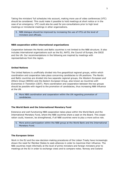Taking the ministers' full schedules into account, making more use of video conferences (VTC) should be considered. This could make it possible to hold meetings at short notice or in the case of an emergency. VTC could also be used for pre-consultations prior to high level meetings or ministerial meetings in other organizations.

3. NB8 dialogue should be improved by increasing the use of VTCs at the level of ministers and officials.

#### **NB8 cooperation within international organizations**

Cooperation between the Nordic and Baltic countries is not limited to the NB8 structure. It also includes international organizations such as the EU, NATO, the Council of Europe, the OSCE and the UN. Our recommendations in the following are inspired by meetings with representatives from the region.

#### **United Nations**

The United Nations is unofficially divided into five geopolitical regional groups, within which coordination and cooperation take place concerning candidacies to UN positions. The Nordic and Baltic countries are divided into two separate regional groups, the *Western European and Others Group* (WEOG) and *the Eastern European Group*, also known as *Countries with Economies in Transition* (CEIT). More coordination and cooperation between the two groups should be possible with regard to the promotion of candidacies, thus increasing NB8 influence at the UN.

4. More NB8 coordination and cooperation within the UN regarding promotion of candidacies.

#### **The World Bank and the International Monetary Fund**

Extensive and well-functioning NB8 cooperation takes place within the World Bank and the International Monetary Fund, where the NB8 countries share a seat on the Board. This cooperation could, however, be strengthened, if all NB8 countries were to play a more active role.

5. More active participation within the NB8 group at the World Bank and the International Monetary Fund.

#### **The European Union**

Work in the EU and the new decision-making procedures of the Lisbon Treaty have increasingly shown the need for Member States to seek alliances in order to maximize their influence. The NB6 countries meet informally at the level of prime ministers and foreign ministers prior to meetings at the EU in order to exchange views and to compare notes. Norway and Iceland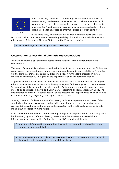

Courtesy of the EU

have previously been invited to meetings, which have had the aim of strengthening Nordic-Baltic influence at the EU. These meetings should continue and if possible be intensified, also at the level of civil servants and experts. A lead nation for organizing such meetings should – where relevant – be found, based on informal, existing rotation principles.

At the same time, where relevant and within different policy areas, the Nordic and Baltic countries should explore the possibility of formal or informal alliances with other groups of likeminded Member States, e.g. the Visegrad countries.

#### 6. More exchange of positions prior to EU meetings.

# **Cooperation concerning diplomatic representations**

*How can we improve our diplomatic representation globally through strengthened NB8 cooperation?*

The Nordic foreign ministers have agreed to implement the recommendation of the Stoltenberg report concerning strengthened Nordic cooperation on diplomatic representations. As a follow up, the Nordic countries are currently preparing a report for the Nordic foreign ministers meeting in November 2010 regarding the implementation of this recommendation.

At present the Nordic countries already cooperate in parts of the world by either housing each others' diplomats or – as in Berlin – by having some joint facilities adjacent to the embassies. In some places this cooperation has also included Baltic representation, although this seems more to be an exception. Latvia and Estonia are cooperating on representation in Cairo. The implementation of the EU External Action Service presents new opportunities which should be explored further, e.g. regarding handling of consular issues.

Sharing diplomatic facilities is a way of increasing diplomatic representation in parts of the world where budgetary constraints and priorities would otherwise have prevented such representation. At the same time extended cooperation in this field could also contribute to making NB8 cooperation more visible.

More should therefore be done in the area of joint diplomatic representation. A first step could be the setting up of an informal Clearing House where the NB8 countries could share information about opportunities for housing other NB8 countries' diplomats.

7. An informal Clearing House regarding diplomatic representations should be set up among the foreign ministries.

8. Each NB8 country should identify at least one diplomatic representation which should be able to host diplomats from other NB8 countries.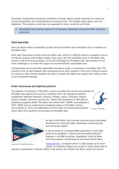Exchange of diplomats among the ministries of foreign affairs would contribute to improving mutual cooperation and understanding at working level. This already takes place, but only bilaterally. This practice could later be expanded to other ministries and fields.

9. Possibilities and practical aspects of exchanging diplomats among the MFAs should be examined.

# **Civil security**

*How can Nordic-Baltic cooperation protect the environment and strengthen the surveillance of the Baltic Sea?*

Each year thousands of ships cross the Baltic Sea, which is a difficult area for navigation due to its narrow seaways and shallow waters. Each year 120-140 accidents occur in the Baltic Sea, mostly in the form of groundings. In the EU's Strategy for the Baltic Sea, the greatest of four main challenges is to make the region an environmentally sustainable area.

Transportation of oil and other potentially hazardous cargo is increasing in the Baltic Sea. The scenario of an oil spill disaster with consequences as seen recently in the Gulf of Mexico cannot be ruled out. More should therefore be done to protect the Baltic Sea region from falling victim to environmental damage.

#### **Public Awareness and fighting pollution**

The Helsinki Commission ("HELCOM") works to protect the marine environment of the Baltic Sea against all sources of pollution and is an intergovernmental cooperation between Denmark, Estonia, Finland, Latvia, Lithuania, Poland, Russia, Sweden, Germany and the EU. Within the framework of HELCOM an ambitious program called "The Baltic Sea Action Plan" (BSAP) was adopted in 2007. BSAP aims at restoring the ecological status of the Baltic marine environment by 2021 and addresses all of the main environmental problems which affect the maritime environment of the Baltic Sea.



Courtesy of HELCOM



Courtesy of the Royal Danish Navy

As part of the BSAP, the involved countries have committed themselves to ensuring Public Awareness concerning the environmental aspect.

A way forward for increased NB8 cooperation in this field could be to establish a *"Marine Environmental Watcher"* program in all NB8 countries. Inspiration could be taken from the program coordinated by the Royal Danish Navy

[\(www.sok.dk\)](http://www.sok.dk/), a program which 12,500 people so far have joined. If a Watcher detects an oil spill or some other kind of

pollution somewhere in Danish waters, that person can contact the Navy, using one central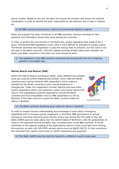phone number. Based on the call, the Navy will assess the situation and ensure full national coordination in order to identify the party responsible for the pollution and to have it cleaned up.

10.All NB8 countries should have a Marine Environmental Watcher program.

When the program has been introduced in all NB8 countries, informal exchange of best practices and information should take place among the countries.

In order to protect the environment in the Baltic Sea, proper legislation also needs to be in place. Harmonized NB8 legislations could make it more difficult for polluters to escape justice. The Nordic countries have legislation in place for issuing fines to polluters, but the same is not the case in the Baltic countries. Informal capacity building already takes place between the Nordic and Baltic countries in this field, but more should be done.

11. The legislation in the NB8 countries should be harmonized with the aim of fighting pollution in the Baltic Sea.

#### **Marine Search and Rescue (SAR)**

Within the field of Search and Rescue (SAR), many different fora already exist and could be further explored and utilized. Since 1989 the Nordic countries have had the *Nordred* SAR cooperation, which makes it possible for the Nordic countries to give mutual assistance in emergencies. Today the cooperation includes regional and local crossborder cooperation within civil protection, police, and marine search and rescue. This cooperation could be expanded to include the Baltic countries and thus bring added value to NB8 cooperation as well as Nordred. A first step could be to grant the Baltic countries observer status in Nordred.



Courtesy of Nordred

#### 12. The Baltic countries should be given observer status in Nordred.

In order to expand mutual understanding and knowledge of each other's emergency capabilities and to increase mutual cooperation in this field, NB8 participation in annual emergency exercises should be given priority. Every year during the first week of May the Baltic SAREX exercise takes place near the Danish island of Bornholm, with the participation of many of the countries around the Baltic Sea, including some of the NB8 countries. It would contribute to the capacity building of the participating nations if they could take turns hosting the exercise, as seen with HELCOM's annual marine exercise BALEX DELTA. In that connection the individual host nations could draw on Danish experience and expertise.

13. The Baltic SAREX exercise could be hosted by a different country every year.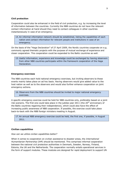#### **Civil protection**

Cooperation could also be enhanced in the field of civil protection, e.g. by increasing the level of information between the countries. Currently the NB8 countries do not have the relevant contact information at hand should they need to contact colleagues in other countries instantaneously in case of an emergency.

14.An informal information network should be established, listing the capabilities of each nation and contact information for relevant people and institutions in case of an emergency.

On the basis of the "Haga Declaration" of 27 April 2009, the Nordic countries cooperate on e.g. commonly agreed thematic projects with the purpose of mutual exchange of experience and closer cooperation. This cooperation could be expanded to the Baltic countries as well.

15. Useful information, experience and knowledge could be exchanged by having observers from other NB8 countries participate within the framework cooperation of the Haga Declaration.

#### **Emergency exercises**

The NB8 countries each hold national emergency exercises, but inviting observers to these events mainly takes place on ad hoc basis. Having observers would give added value to the host nation as well as to the observers and would also further enhance cooperation on joint emergency actions.

16. Observers from the NB8 countries should be invited to major national emergency exercises.

A specific emergency exercise could be held for NB8 countries only, preferably based on a joint risk scenario. The first one could take place in the jubilee year 2011 (the  $20<sup>th</sup>$  anniversary of the Baltic countries regaining their independence), which could also have the effect of increasing public awareness of NB8 cooperation. If possible, the exercise could take place back-to-back with the NB8 foreign ministers meeting in August.

17.An annual NB8 emergency exercise could be held, the first one, if possible, in August 2011.

#### **Civilian capabilities**

#### *How can we utilize civilian capabilities better?*

When it comes to cooperation on civilian assistance to disaster areas, the *International Humanitarian Partnership* (IHP) should be mentioned. This comprises informal cooperation between the national civil protection authorities in Denmark, Sweden, Norway, Finland, Estonia, the UK and the Netherlands. The cooperation normally entails operational services in the form of support modules. These modules are designed for rapid deployment to support UN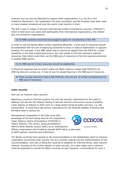missions, but can also be deployed to support other organizations, e.g. the EU's Civil Protection Mechanism. The cooperation has been successful, and the modules have been used in many disaster situations all over the world, most recently in Haiti.

The IHP is also in charge of the only international civilian humanitarian exercise ("TRIPLEX"), which is held every two years with participants from international organizations, the military and civil protection organizations.

18.All NB8 countries should be encouraged to apply for membership of the IHP.

In order to use the Nordic-Baltic civilian capacities efficiently, a joint pool of resources should be established with the aim of deploying personnel to areas in need of stabilization or capacity building. For example: if one NB8 nation was to receive an appeal from the OSCE for civilian assistance in the field of good governance, but was unable to find the necessary national resources, that nation could then use the NB8 pool of resources to find the required personnel in another NB8 country.

19.An NB8 pool of civilian resources should be established.

It should be explored how to further utilize the *Baltic Defence College* (BALTDEFCOL) by offering relevant courses e.g. in Rule of Law for people figuring in the NB8 pool of resources.

20. More courses should be held at BALTDEFCOL with the aim of further strengthening the NB8 pool of resources.

#### **Cyber security**

*How can we improve cyber security?*

Attacking a country's Internet systems not only has security implications for the nation's defense, but also for the citizens' feeling of security and the community's sense of stability. Cyber attacks on Estonia in 2007 were to a large extent aimed at public services, e.g. the Central Bank. It could have had serious implications for the financial stability of Estonia had the Bank taken a serious hit.

Strengthened cooperation in this field could take advantage of the work being done at the Cooperative Cyber Defence Centre of Excellence (CCDCOE) in Tallinn, Estonia. This Centre, being accredited by

Courtesy of CCDCOE

NATO's North Atlantic Council (NAC) as an International Military Organization and funded by several NATO allies, is also open to NATO partner countries and institutions.

The Nordic countries have agreed on the recommendation in the Stoltenberg report to enhance cooperation concerning cyber security and are currently looking into the implementation of this recommendation. One way of doing this could be to establish an informal Nordic cyber security network, focusing on the civilian aspects of cyber security. At a later stage such a network could be expanded to include the Baltic countries as well. However, a precondition for such a

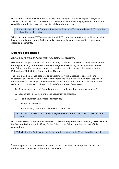Nordic-Baltic network would be to have well-functioning *Computer Emergency Response Teams* (CERT) in all NB8 countries and to have a multilateral security agreement. A first step could therefore be to carry out capacity building where needed.

21.Capacity building of Computer Emergency Response Teams in relevant NB8 countries should be implemented.

When well-functioning CERTs are present in all NB8 countries, a next step could be to look at having a multilateral Nordic-Baltic security agreement to enable cooperation concerning classified documents.

### **Defense cooperation**

*How can we improve and strengthen NB8 defense cooperation?*

NB8 defense cooperation entails annual meetings of defense ministers as well as cooperation *on the ground*, e.g. at the *Baltic Defence College* (BALTDEFCOL) in Tartu, Estonia. The Nordic and Baltic countries have also cooperated outside the region by providing support to the Multinational Staff Officer Center in Kiev, Ukraine.

The Nordic-Baltic defense cooperation is working very well, especially bilaterally and trilaterally, as well as within EU and NATO operations. But more could be done, especially multilaterally. In that regard it would be natural to look at the Nordic defense cooperation (NORDEFCO). NORDEFCO is based on five different areas of cooperation:

- 1. Strategic development (including research and longer term strategic analysis)
- 2. Capabilities (including armament/acquisition and logistics)
- 3. HR and education (e.g. vocational training)
- 4. Training and exercises

1

5. Operations (e.g. the Nordic Battle Group within the EU)

22. All NB8 countries should be encouraged to contribute to the EU Nordic Battle Group 2011<sup>2</sup>.

Nordic cooperation is not limited to the Nordic region. Regional capacity building takes place in the Western Balkans and in Africa. In the Balkans, the Baltic countries are part of this cooperation.

23. Including the Baltic countries in the Nordic cooperation in Africa should be considered.

 $2$  With respect to the defense dimension of the EU, Denmark has an opt-out and will therefore not be able to contribute to the Nordic Battle Group.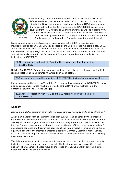

Courtesy of BALTDEFCOL

Well-functioning cooperation exists at BALTDEFCOL, which is a joint Baltic defense academy. The main objective of BALTDEFCOL is to provide high standard military education and training according to NATO standards and the needs outlined by the Baltic governments. BALTDEFCOL is open to all students from NATO nations or EU member states as well as students from countries which are part of NATO's Partnership for Peace (PfP). The Nordic countries participate with instructors, secondment of students (from the Nordic countries and as well as from other countries) and financially.

Based on an independent international review carried out in 2009, a new five year Development Plan for BALTDEFCOL was adopted by the Baltic defense ministers in May 2010. In the Development Plan the need for multinational involvement was stressed, including the importance of having foreign instructors and lectures. The Nordic countries could do more to support the goals set out in the Development Plan, e.g. by sending more students and instructors to BALTDEFCOL.

24. More instructors and students from the Nordic countries should be sent to BALTDEFCOL.

Utilizing BALTDEFCOL for one day events or seminars could also be considered, inviting high ranking speakers such as defense ministers or chiefs of defense.

25.Short seminars should be organized at BALTDEFCOL, inviting high ranking speakers.

Enhancing cooperation with NATO and the EU regarding hosting courses at BALDEFCOL should also be considered, courses which are normally held at NATO or EU facilities (e.g. the European Security and Defence College).

26. Enhance cooperation with NATO and the EU regarding courses to be held at BALTDEFCOL.

# **Energy**

*How can the NB8 cooperation contribute to increased energy security and energy efficiency?*

A new Baltic Energy Market Interconnection Plan (BEMIP) was launched by the European Commission in November 2008 and afterwards also included in the EU Strategy for the Baltic Sea Region. The main goal of the initiative is the full integration of the three Baltic countries into the European energy market through the strengthening of interconnections with their EU neighboring countries and through the adoption of the Nordic model for implementing the EU aquis with regard to the internal market for electricity. Denmark, Estonia, Finland, Latvia, Lithuania and Sweden participate in this cooperation as well as Germany and Poland. Norway holds observer status.

The debate on energy has to a large extent been focused on the question of energy security, including the issue of energy supply, especially the traditional energy sources (fossil and nuclear). There seems to be less focus on the issues of renewable energy sources (biomass, water and wind) and energy efficiency.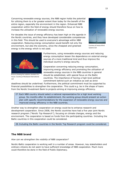Concerning renewable energy sources, the NB8 region holds the potential for utilizing them to a far greater extent than today for the benefit of the entire region, especially the environment in the region. Enhanced NB8 cooperation within the field of energy should therefore focus on how to increase the utilization of renewable energy sources.

For decades the issue of energy efficiency has been high on the agenda in the Nordic countries, and they have developed considerable competences in this field. This should be used to everyone's advantage within NB8 cooperation. Reducing energy consumption would benefit not only the environment, but also the economy, since the cheapest and greenest energy is the energy which is not used.



Courtesy of Vestas Wind Systems A/S



Picture showing the isolation standard of a house. Courtesy of Rockwool International  $\Delta$ /S

Furthermore, using renewable energy sources and reducing energy consumption lessen the dependence on external energy sources of a more traditional kind and thus improve the individual country's energy security.

Cooperation concerning reducing energy consumption, improving energy efficiency and promoting the utilization of renewable energy sources in the NB8 countries in general should be established, with special focus on the Baltic countries. The importance of having a high level political commitment behind such an initiative as well as strict

deadlines should be underlined. Furthermore, the political commitment must be supported by financial possibilities to strengthen the cooperation. This could e.g. be in the shape of loans from the Nordic Investment Bank to projects aiming at improving energy efficiency.

27. Each NB8 country should select a national representative for a high level working group. Six months after its establishment, the working group should present an action plan with specific recommendations for the expansion of renewable energy sources and improved energy efficiency in the NB8 countries.

Another way to strengthen cooperation on energy could be to enhance research and development cooperation. Since 2008, the Nordic countries have had a five year joint Nordic research program *("Nordic Top Research")*, focusing on climate changes, energy and the environment. The cooperation is based on funds from the participating countries. Including the Baltic countries in this cooperation could be considered.

28. Including the Baltic countries in the Nordic Top Research program could be considered.

# **The NB8 brand**

*How can we strengthen the visibility of NB8 cooperation?*

Nordic-Baltic cooperation is working well in a number of areas. However, key stakeholders and ordinary citizens do not seem to have sufficient knowledge of NB8 cooperation. Much more could therefore be done in the field of Public Diplomacy.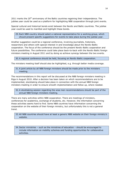2011 marks the  $20<sup>th</sup>$  anniversary of the Baltic countries regaining their independence. The jubilee year could be used as a platform for highlighting NB8 cooperation through joint events.

Special cultural and historical bonds exist between the Nordic and Baltic countries. The jubilee year could be used to manifest and highlight these bonds.

29. Each NB8 country should select a national representative for a working group, which should present specific suggestions for events to take place during the jubilee year.

Another suggestion could be a regional conference, involving journalists, historians, researchers and others with special interest in and knowledge about the Nordic-Baltic cooperation. The focus of the conference should be the present Nordic-Baltic cooperation and future possibilities. The conference could take place back-to-back with the Nordic-Baltic foreign ministers meeting in August 2011 and by doing so achieve synergy between the two events.

30.A regional conference should be held, focusing on Nordic-Baltic cooperation.

The ministers meeting itself should also be highlighted, e.g. through better media coverage.

31.A joint article by all NB8 foreign ministers should be made prior to the ministers meeting.

The recommendations in this report will be discussed at the NB8 foreign ministers meeting in Riga in August 2010. After a decision has been taken on which recommendations are to be implemented, stocktaking should take place in connection with the annual NB8 foreign ministers meeting in order to ensure smooth implementation and follow up, where needed.

32.A stocktaking session regarding the wise men recommendations should be part of the annual NB8 foreign ministers meeting.

There are many activities within NB8 cooperation. There are meetings of ministers, conferences for academics, exchange of students, etc. However, the information concerning these activities seems hard to find. Some NB8 countries have information concerning the cooperation on the website of their foreign ministry, but unfortunately this is not a general trend.

33.All NB8 countries should have at least a generic NB8 website on their foreign ministry's website.

34.Sector ministries – such as the ministries of education – should be encouraged to include information on mobility schemes and funding opportunities for collaborative activities.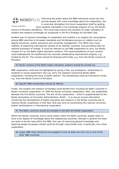

Courtesy of NordPlus

Informing the public about the NB8 framework would not only provide people with more knowledge about the cooperation, but it could also strengthen the future cooperation itself by getting

more students interested in the exchange program of e.g. the Nordic Council of Ministers (NordPlus). This could help improve the situation of under-utilization of student and research exchanges as recognized in the EU's Strategy for the Baltic Sea.

Another way to improve knowledge of cooperation and mobility is to support the convergence among NB8 countries to European standards and the Bologna process on matters such as degree structures, quality assurance and university management. The OECD has a long tradition of organizing international reviews of its member countries, thus providing input for national processes of change. It could be relevant to use NB8 cooperation to carry out Nordic reviews of e.g. the Baltic higher education systems. The recommendations of such reviews could subsequently be transformed into concrete collaborative improvement projects, e.g. funded by the EU. The reviews should be financed with funds, e.g. from the Nordic Council of Ministers.

35. Nordic reviews of the Baltic higher education systems should be carried out.

NB8 cooperation could also be highlighted by giving a few, but prestigious, scholarships to students or young researchers who e.g. carry out research concerning Nordic-Baltic cooperation, including the issue of public opinion. The scholarships could be financed by funds, e.g. from the Nordic Council of Ministers.

36.Specific NB8-scholarships should be offered.

Finally, the student and research exchanges could benefit from including the Baltic countries in Nordic university cooperation. In 1995 the Nordic university cooperation, *NUS*, was established between the five Nordic countries. The aim of this cooperation – which is supplemented by the Nordic Association of University Administrators, *NUAS* – is to ensure mutual information concerning the development of higher education and research in the Nordic countries and to improve Nordic cooperation in this field. NUS also aims at coordinating the national university bodies' participations in international cooperation.

37. The Baltic countries should be included in the NUS and NUAS cooperation.

Within the Nordic countries, and to some extent within the Baltic countries, people seem to have a fair degree of knowledge about the neighboring countries, whereas in general this does not seem to be the case within the NB8. One way of improving general knowledge and fostering people-to-people contact could be through cross-border and, in particular, twin-cities cooperation.

38. Larger NB8 cities should be encouraged to have at least one twin-city in one of the other NB8 countries.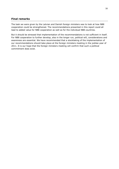## **Final remarks**

The task we were given by the Latvian and Danish foreign ministers was to look at how NB8 cooperation could be strengthened. The recommendations presented in this report could all lead to added value for NB8 cooperation as well as for the individual NB8 countries.

But it should be stressed that implementation of the recommendations is not sufficient in itself. For NB8 cooperation to further develop, also in the longer run, political will, considerations and awareness are essential. We have recommended that a stocktaking of the implementation of our recommendations should take place at the foreign ministers meeting in the jubilee year of 2011. It is our hope that the foreign ministers meeting will confirm that such a political commitment does exist.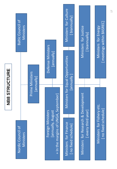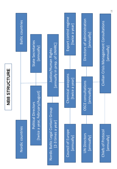

# **NB8 STRUCTURE NB8 STRUCTURE**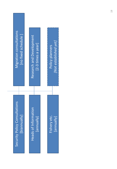| Migration consultations                       | Research and Development               | [Not established yet]       |
|-----------------------------------------------|----------------------------------------|-----------------------------|
| [no fixed schedule]                           | [2-3 times a year]                     | Policy planners             |
| Security Policy Consultations<br>[biannually] | SO<br>Heads of Informati<br>[vllenuue] | Fishery etc.<br>[/llenuue]] |

т

ī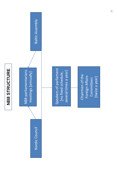![](_page_25_Figure_0.jpeg)

Speakers of parliament Speakers of parliament several times a year] several times a year] [no fixed schedule, [no fixed schedule,

Chairmen of the Chairmen of the Foreign Affairs Foreign Affairs [twice a year] Committees [twice a year] Committees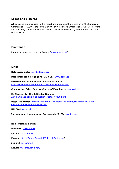# **Logos and pictures**

All logos and pictures used in this report are brought with permission of the European Commission, HELCOM, the Royal Danish Navy, Rockwool International A/S, Vestas Wind Systems A/S, Cooperative Cyber Defence Centre of Excellence, Nordred, NordPlus and BALTDEFCOL.

# **Frontpage**

Frontpage generated by using Wordle [\(www.wordle.net\)](http://www.wordle.net/)

# **Links**

**Baltic Assembly:** [www.baltasam.org](http://www.baltasam.org/)

#### **Baltic Defence College (BALTDEFCOL):** [www.bdcol.ee](http://www.bdcol.ee/)

**BEMIP** (Baltic Energy Market Interconnection Plan): [http://ec.europa.eu/energy/infrastructure/bemip\\_en.htm](http://ec.europa.eu/energy/infrastructure/bemip_en.htm)

#### **Cooperative Cyber Defence Centre of Excellence:** www.ccdcoe.org

**EU Strategy for the Baltic Sea Region:**  [//eu.baltic.net/Baltic\\_Sea\\_Region\\_strategy.7428.html](//eu.baltic.net/Baltic_Sea_Region_strategy.7428.html)

**Haga Declaration:** [http://www.fmn.dk/videnom/Documents/Deklaration%20Haga](http://www.fmn.dk/videnom/Documents/Deklaration%20Haga-deklarationen%20slutlig%20(4).pdf)[deklarationen%20slutlig%20\(4\).pdf](http://www.fmn.dk/videnom/Documents/Deklaration%20Haga-deklarationen%20slutlig%20(4).pdf)

**HELCOM:** [www.helcom.fi](http://www.helcom.fi/)

#### **International Humanitarian Partnership (IHP):** [www.ihp.nu](http://www.ihp.nu/)

#### **NB8 foreign ministries**

**Denmark:** [www.um.dk](http://www.um.dk/)

**Estonia:** [www.vm.ee](http://www.vm.ee/)

**Finland:** [http://formin.finland.fi/Public/default.aspx?](http://formin.finland.fi/Public/default.aspx)

**Iceland:** [www.mfa.is](http://www.mfa.is/)

**Latvia:** [www.mfa.gov.lv/en/](http://www.mfa.gov.lv/en/)